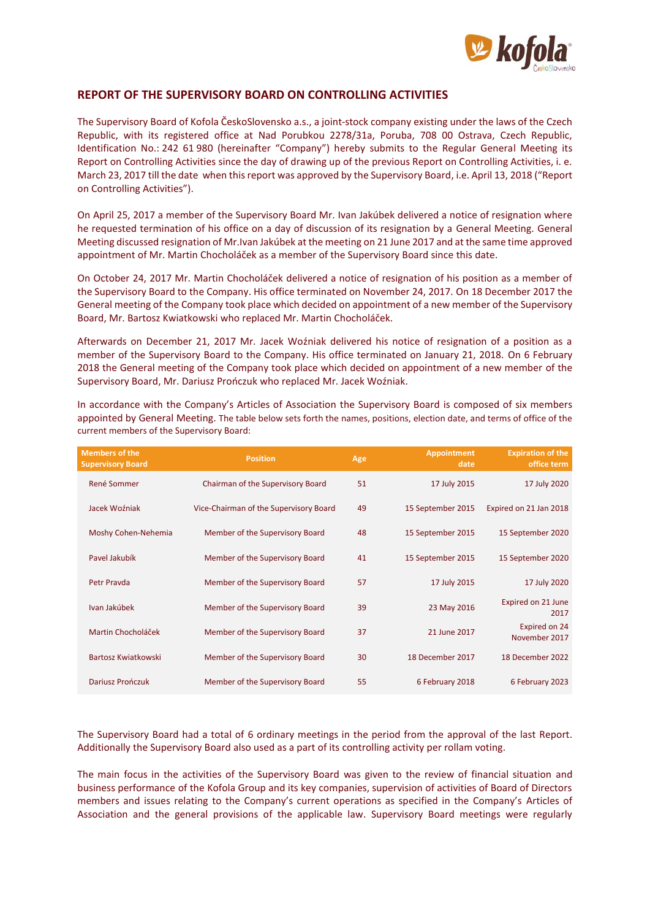

## **REPORT OF THE SUPERVISORY BOARD ON CONTROLLING ACTIVITIES**

The Supervisory Board of Kofola ČeskoSlovensko a.s., a joint-stock company existing under the laws of the Czech Republic, with its registered office at Nad Porubkou 2278/31a, Poruba, 708 00 Ostrava, Czech Republic, Identification No.: 242 61 980 (hereinafter "Company") hereby submits to the Regular General Meeting its Report on Controlling Activities since the day of drawing up of the previous Report on Controlling Activities, i. e. March 23, 2017 till the date when this report was approved by the Supervisory Board, i.e. April 13, 2018 ("Report on Controlling Activities").

On April 25, 2017 a member of the Supervisory Board Mr. Ivan Jakúbek delivered a notice of resignation where he requested termination of his office on a day of discussion of its resignation by a General Meeting. General Meeting discussed resignation of Mr.Ivan Jakúbek at the meeting on 21 June 2017 and at the same time approved appointment of Mr. Martin Chocholáček as a member of the Supervisory Board since this date.

On October 24, 2017 Mr. Martin Chocholáček delivered a notice of resignation of his position as a member of the Supervisory Board to the Company. His office terminated on November 24, 2017. On 18 December 2017 the General meeting of the Company took place which decided on appointment of a new member of the Supervisory Board, Mr. Bartosz Kwiatkowski who replaced Mr. Martin Chocholáček.

Afterwards on December 21, 2017 Mr. Jacek Woźniak delivered his notice of resignation of a position as a member of the Supervisory Board to the Company. His office terminated on January 21, 2018. On 6 February 2018 the General meeting of the Company took place which decided on appointment of a new member of the Supervisory Board, Mr. Dariusz Prończuk who replaced Mr. Jacek Woźniak.

| <b>Members of the</b><br><b>Supervisory Board</b> | <b>Position</b>                        | Age | <b>Appointment</b><br>date | <b>Expiration of the</b><br>office term |
|---------------------------------------------------|----------------------------------------|-----|----------------------------|-----------------------------------------|
| <b>René Sommer</b>                                | Chairman of the Supervisory Board      | 51  | 17 July 2015               | 17 July 2020                            |
| Jacek Woźniak                                     | Vice-Chairman of the Supervisory Board | 49  | 15 September 2015          | Expired on 21 Jan 2018                  |
| Moshy Cohen-Nehemia                               | Member of the Supervisory Board        | 48  | 15 September 2015          | 15 September 2020                       |
| Pavel Jakubík                                     | Member of the Supervisory Board        | 41  | 15 September 2015          | 15 September 2020                       |
| Petr Pravda                                       | Member of the Supervisory Board        | 57  | 17 July 2015               | 17 July 2020                            |
| Ivan Jakúbek                                      | Member of the Supervisory Board        | 39  | 23 May 2016                | Expired on 21 June<br>2017              |
| Martin Chocholáček                                | Member of the Supervisory Board        | 37  | 21 June 2017               | Expired on 24<br>November 2017          |
| Bartosz Kwiatkowski                               | Member of the Supervisory Board        | 30  | 18 December 2017           | 18 December 2022                        |
| <b>Dariusz Prończuk</b>                           | Member of the Supervisory Board        | 55  | 6 February 2018            | 6 February 2023                         |

In accordance with the Company's Articles of Association the Supervisory Board is composed of six members appointed by General Meeting. The table below sets forth the names, positions, election date, and terms of office of the current members of the Supervisory Board:

The Supervisory Board had a total of 6 ordinary meetings in the period from the approval of the last Report. Additionally the Supervisory Board also used as a part of its controlling activity per rollam voting.

The main focus in the activities of the Supervisory Board was given to the review of financial situation and business performance of the Kofola Group and its key companies, supervision of activities of Board of Directors members and issues relating to the Company's current operations as specified in the Company's Articles of Association and the general provisions of the applicable law. Supervisory Board meetings were regularly